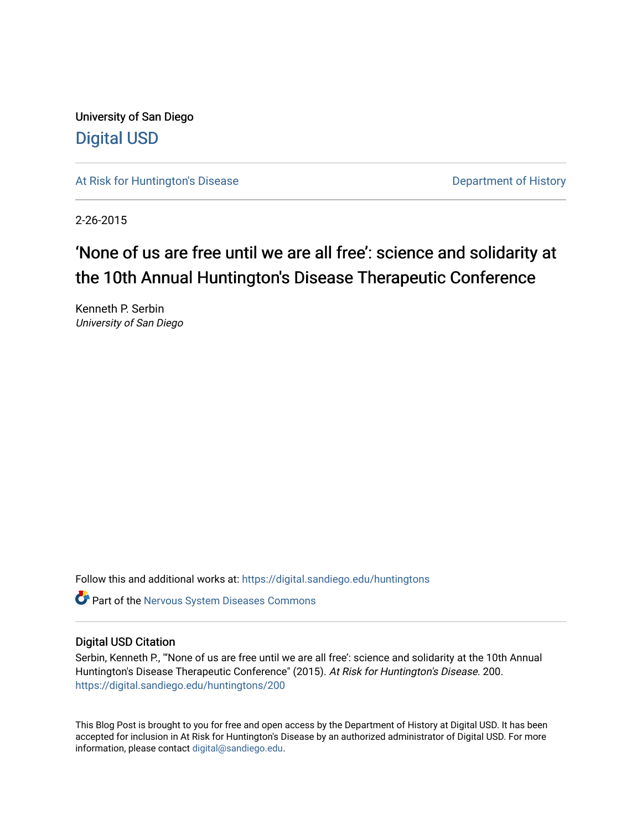University of San Diego [Digital USD](https://digital.sandiego.edu/)

[At Risk for Huntington's Disease](https://digital.sandiego.edu/huntingtons) **Department of History** Department of History

2-26-2015

# 'None of us are free until we are all free': science and solidarity at the 10th Annual Huntington's Disease Therapeutic Conference

Kenneth P. Serbin University of San Diego

Follow this and additional works at: [https://digital.sandiego.edu/huntingtons](https://digital.sandiego.edu/huntingtons?utm_source=digital.sandiego.edu%2Fhuntingtons%2F200&utm_medium=PDF&utm_campaign=PDFCoverPages)

**C** Part of the [Nervous System Diseases Commons](http://network.bepress.com/hgg/discipline/928?utm_source=digital.sandiego.edu%2Fhuntingtons%2F200&utm_medium=PDF&utm_campaign=PDFCoverPages)

### Digital USD Citation

Serbin, Kenneth P., "'None of us are free until we are all free': science and solidarity at the 10th Annual Huntington's Disease Therapeutic Conference" (2015). At Risk for Huntington's Disease. 200. [https://digital.sandiego.edu/huntingtons/200](https://digital.sandiego.edu/huntingtons/200?utm_source=digital.sandiego.edu%2Fhuntingtons%2F200&utm_medium=PDF&utm_campaign=PDFCoverPages)

This Blog Post is brought to you for free and open access by the Department of History at Digital USD. It has been accepted for inclusion in At Risk for Huntington's Disease by an authorized administrator of Digital USD. For more information, please contact [digital@sandiego.edu.](mailto:digital@sandiego.edu)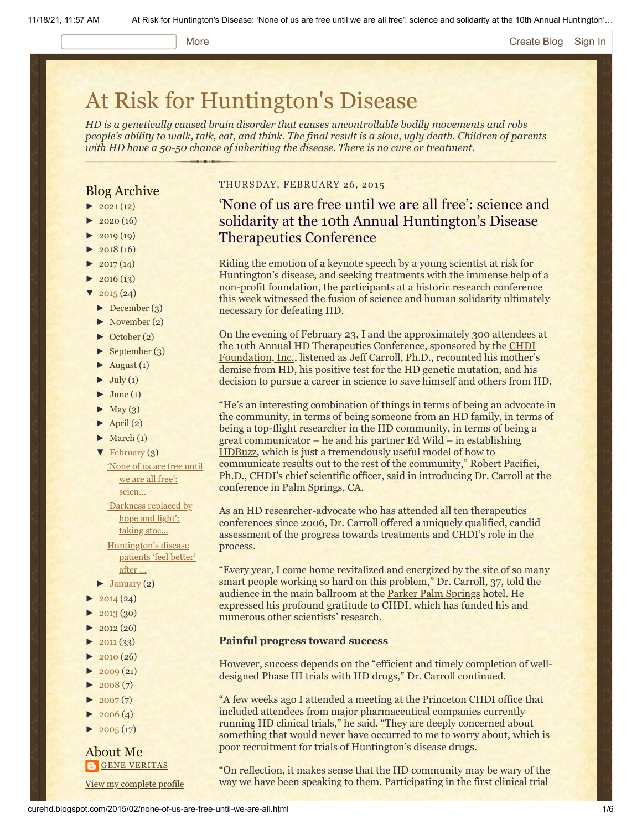### More **[Create Blog](https://www.blogger.com/home#create) [Sign In](https://www.blogger.com/)**

# [At Risk for Huntington's Disease](http://curehd.blogspot.com/)

*HD is a genetically caused brain disorder that causes uncontrollable bodily movements and robs people's ability to walk, talk, eat, and think. The final result is a slow, ugly death. Children of parents with HD have a 50-50 chance of inheriting the disease. There is no cure or treatment.*

### Blog Archive

- $\blacktriangleright$  [2021](http://curehd.blogspot.com/2021/)(12)
- $2020(16)$  $2020(16)$
- $2019(19)$  $2019(19)$
- $\blacktriangleright$  [2018](http://curehd.blogspot.com/2018/) (16)
- $2017(14)$  $2017(14)$
- $2016(13)$  $2016(13)$
- $\sqrt{2015(24)}$  $\sqrt{2015(24)}$  $\sqrt{2015(24)}$
- [►](javascript:void(0)) [December](http://curehd.blogspot.com/2015/12/) (3)
- [►](javascript:void(0)) [November](http://curehd.blogspot.com/2015/11/) (2)
- [►](javascript:void(0)) [October](http://curehd.blogspot.com/2015/10/) (2)
- $\blacktriangleright$  [September](http://curehd.blogspot.com/2015/09/) (3)
- $\blacktriangleright$  [August](http://curehd.blogspot.com/2015/08/) (1)
- $\blacktriangleright$  [July](http://curehd.blogspot.com/2015/07/) (1)
- $\blacktriangleright$  [June](http://curehd.blogspot.com/2015/06/) (1)
- $\blacktriangleright$  [May](http://curehd.blogspot.com/2015/05/) (3)
- $\blacktriangleright$  [April](http://curehd.blogspot.com/2015/04/) (2)
- $\blacktriangleright$  [March](http://curehd.blogspot.com/2015/03/) (1)
- $\blacktriangledown$  [February](http://curehd.blogspot.com/2015/02/) (3)
- 'None of us are free until we are all free': [scien...](http://curehd.blogspot.com/2015/02/none-of-us-are-free-until-we-are-all.html)
- ['Darkness](http://curehd.blogspot.com/2015/02/darkness-replaced-by-hope-and-light.html) replaced by hope and light':
- taking stoc... [Huntington's](http://curehd.blogspot.com/2015/02/huntingtons-disease-patients-feel.html) disease patients 'feel better' after ...
- $\blacktriangleright$  [January](http://curehd.blogspot.com/2015/01/) (2)
- $2014(24)$  $2014(24)$
- [►](javascript:void(0)) [2013](http://curehd.blogspot.com/2013/) (30)
- $\blacktriangleright$  [2012](http://curehd.blogspot.com/2012/) (26)
- $\blacktriangleright$  [2011](http://curehd.blogspot.com/2011/) (33)
- $2010(26)$  $2010(26)$
- $\blacktriangleright$  [2009](http://curehd.blogspot.com/2009/) (21)
- $-2008(7)$  $-2008(7)$  $-2008(7)$
- $\blacktriangleright$  [2007](http://curehd.blogspot.com/2007/) $(7)$
- $\blacktriangleright$  [2006](http://curehd.blogspot.com/2006/) (4)
- $\blacktriangleright$  [2005](http://curehd.blogspot.com/2005/) (17)

### About Me **GENE [VERITAS](https://www.blogger.com/profile/10911736205741688185)**

View my [complete](https://www.blogger.com/profile/10911736205741688185) profile

### THURSDAY, FEBRUARY 26, 2015

# 'None of us are free until we are all free': science and solidarity at the 10th Annual Huntington's Disease Therapeutics Conference

Riding the emotion of a keynote speech by a young scientist at risk for Huntington's disease, and seeking treatments with the immense help of a non-profit foundation, the participants at a historic research conference this week witnessed the fusion of science and human solidarity ultimately necessary for defeating HD.

On the evening of February 23, I and the approximately 300 attendees at the 10th Annual HD [Therapeutics Conference, sponsored by the CHDI](http://chdifoundation.org/) Foundation, Inc., listened as Jeff Carroll, Ph.D., recounted his mother's demise from HD, his positive test for the HD genetic mutation, and his decision to pursue a career in science to save himself and others from HD.

"He's an interesting combination of things in terms of being an advocate in the community, in terms of being someone from an HD family, in terms of being a top-flight researcher in the HD community, in terms of being a great communicator – he and his partner Ed Wild – in establishing [HDBuzz,](http://en.hdbuzz.net/) which is just a tremendously useful model of how to communicate results out to the rest of the community," Robert Pacifici, Ph.D., CHDI's chief scientific officer, said in introducing Dr. Carroll at the conference in Palm Springs, CA.

As an HD researcher-advocate who has attended all ten therapeutics conferences since 2006, Dr. Carroll offered a uniquely qualified, candid assessment of the progress towards treatments and CHDI's role in the process.

"Every year, I come home revitalized and energized by the site of so many smart people working so hard on this problem," Dr. Carroll, 37, told the audience in the main ballroom at the **[Parker Palm Springs](http://www.theparkerpalmsprings.com/index.php)** hotel. He expressed his profound gratitude to CHDI, which has funded his and numerous other scientists' research.

### **Painful progress toward success**

However, success depends on the "efficient and timely completion of welldesigned Phase III trials with HD drugs," Dr. Carroll continued.

"A few weeks ago I attended a meeting at the Princeton CHDI office that included attendees from major pharmaceutical companies currently running HD clinical trials," he said. "They are deeply concerned about something that would never have occurred to me to worry about, which is poor recruitment for trials of Huntington's disease drugs.

"On reflection, it makes sense that the HD community may be wary of the way we have been speaking to them. Participating in the first clinical trial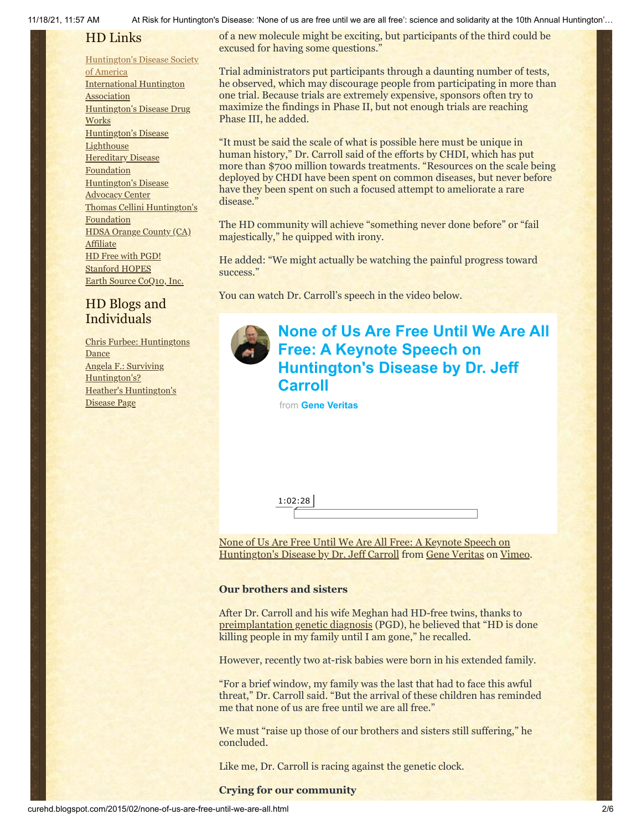#### 11/18/21, 11:57 AM At Risk for Huntington's Disease: 'None of us are free until we are all free': science and solidarity at the 10th Annual Huntington'…

## HD Links

### [Huntington's](http://www.hdsa.org/) Disease Society

of America [International](http://www.huntington-assoc.com/) Huntington **Association** [Huntington's](http://hddrugworks.org/) Disease Drug **Works** [Huntington's](http://www.hdlighthouse.org/) Disease **Lighthouse Hereditary Disease [Foundation](http://www.hdfoundation.org/)** [Huntington's](http://www.hdac.org/) Disease Advocacy Center Thomas [Cellini Huntington's](http://www.ourtchfoundation.org/) **Foundation** HDSA Orange County (CA) **[Affiliate](http://www.hdsaoc.org/)** HD Free with [PGD!](http://www.hdfreewithpgd.com/) [Stanford](http://www.stanford.edu/group/hopes/) HOPES Earth Source [CoQ10,](http://www.escoq10.com/) Inc.

## HD Blogs and Individuals

Chris Furbee: [Huntingtons](http://www.huntingtonsdance.org/) Dance Angela F.: Surviving [Huntington's?](http://survivinghuntingtons.blogspot.com/) Heather's [Huntington's](http://heatherdugdale.angelfire.com/) Disease Page

of a new molecule might be exciting, but participants of the third could be excused for having some questions."

Trial administrators put participants through a daunting number of tests, he observed, which may discourage people from participating in more than one trial. Because trials are extremely expensive, sponsors often try to maximize the findings in Phase II, but not enough trials are reaching Phase III, he added.

"It must be said the scale of what is possible here must be unique in human history," Dr. Carroll said of the efforts by CHDI, which has put more than \$700 million towards treatments. "Resources on the scale being deployed by CHDI have been spent on common diseases, but never before have they been spent on such a focused attempt to ameliorate a rare disease."

The HD community will achieve "something never done before" or "fail majestically," he quipped with irony.

He added: "We might actually be watching the painful progress toward success."

You can watch Dr. Carroll's speech in the video below.

# **[None of Us Are Free Until We Are All](https://vimeo.com/120604026?embedded=true&source=video_title&owner=6019843) Free: A Keynote Speech on**

**Huntington's Disease by Dr. Jeff Carroll**

from **[Gene Veritas](https://vimeo.com/user6019843?embedded=true&source=owner_name&owner=6019843)**

1:02:28

[None of Us Are Free Until We Are All Free: A Keynote Speech on](https://vimeo.com/120604026) Huntington's Disease by Dr. Jeff Carroll from [Gene Veritas](https://vimeo.com/user6019843) on [Vimeo](https://vimeo.com/).

### **Our brothers and sisters**

After Dr. Carroll and his wife Meghan had HD-free twins, thanks to [preimplantation genetic diagnosis](http://www.hdfreewithpgd.com/Home_Page.html) (PGD), he believed that "HD is done killing people in my family until I am gone," he recalled.

However, recently two at-risk babies were born in his extended family.

"For a brief window, my family was the last that had to face this awful threat," Dr. Carroll said. "But the arrival of these children has reminded me that none of us are free until we are all free."

We must "raise up those of our brothers and sisters still suffering," he concluded.

Like me, Dr. Carroll is racing against the genetic clock.

### **Crying for our community**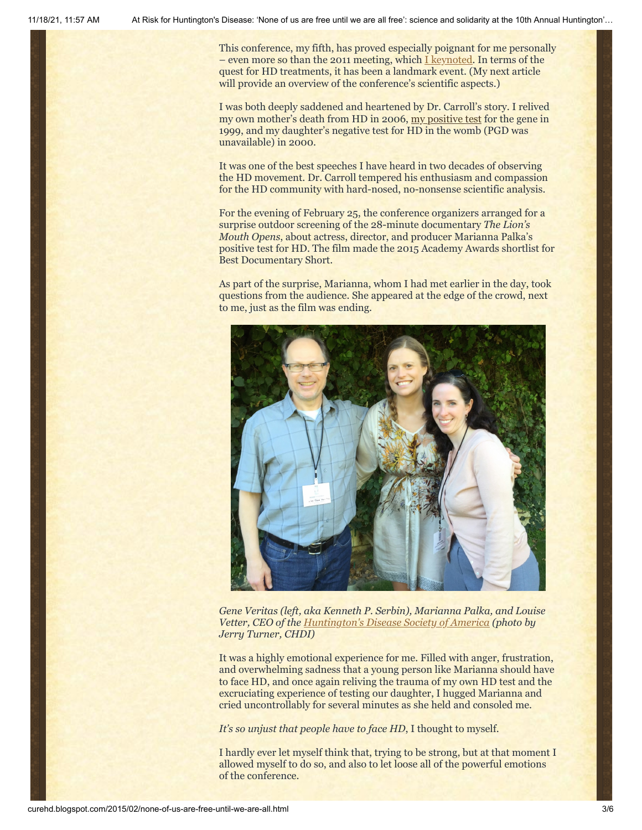This conference, my fifth, has proved especially poignant for me personally – even more so than the 2011 meeting, which [I keynoted](http://curehd.blogspot.com/2011/02/unmasking-gene-veritas-huntingtons.html). In terms of the quest for HD treatments, it has been a landmark event. (My next article will provide an overview of the conference's scientific aspects.)

I was both deeply saddened and heartened by Dr. Carroll's story. I relived my own mother's death from HD in 2006, [my positive test](http://chronicle.com/article/Racing-Against-the-Genetic/135542/) for the gene in 1999, and my daughter's negative test for HD in the womb (PGD was unavailable) in 2000.

It was one of the best speeches I have heard in two decades of observing the HD movement. Dr. Carroll tempered his enthusiasm and compassion for the HD community with hard-nosed, no-nonsense scientific analysis.

For the evening of February 25, the conference organizers arranged for a surprise outdoor screening of the 28-minute documentary *The Lion's Mouth Opens*, about actress, director, and producer Marianna Palka's positive test for HD. The film made the 2015 Academy Awards shortlist for Best Documentary Short.

As part of the surprise, Marianna, whom I had met earlier in the day, took questions from the audience. She appeared at the edge of the crowd, next to me, just as the film was ending.



*Gene Veritas (left, aka Kenneth P. Serbin), Marianna Palka, and Louise Vetter, CEO of the [Huntington's Disease Society of America](http://www.hdsa.org/) (photo by Jerry Turner, CHDI)*

It was a highly emotional experience for me. Filled with anger, frustration, and overwhelming sadness that a young person like Marianna should have to face HD, and once again reliving the trauma of my own HD test and the excruciating experience of testing our daughter, I hugged Marianna and cried uncontrollably for several minutes as she held and consoled me.

*It's so unjust that people have to face HD*, I thought to myself.

I hardly ever let myself think that, trying to be strong, but at that moment I allowed myself to do so, and also to let loose all of the powerful emotions of the conference.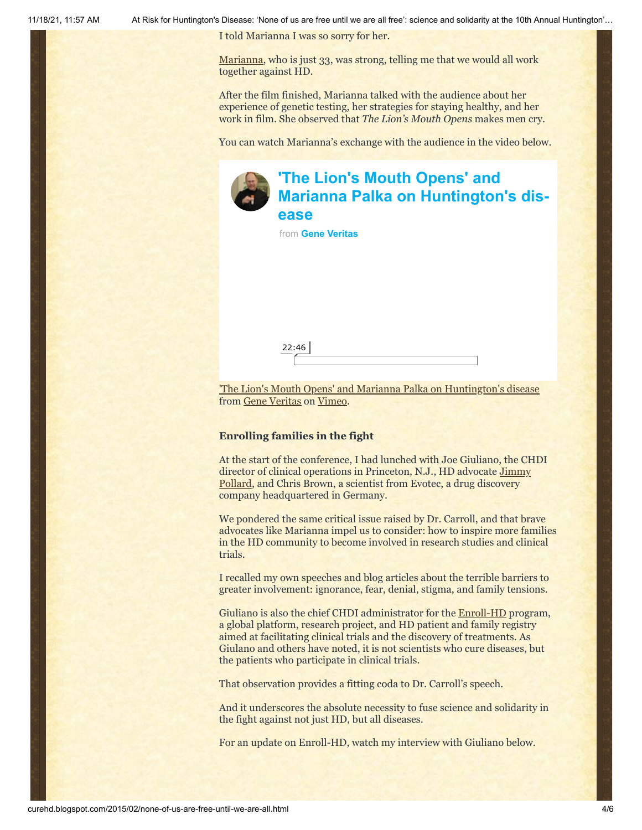I told Marianna I was so sorry for her.

[Marianna](http://www.imdb.com/name/nm0657734/), who is just 33, was strong, telling me that we would all work together against HD.

After the film finished, Marianna talked with the audience about her experience of genetic testing, her strategies for staying healthy, and her work in film. She observed that *The Lion's Mouth Opens* makes men cry.

You can watch Marianna's exchange with the audience in the video below.



# **'The Lion's Mouth Opens' and [Marianna Palka on Huntington's dis](https://vimeo.com/120711730?embedded=true&source=video_title&owner=6019843)ease**

from **[Gene Veritas](https://vimeo.com/user6019843?embedded=true&source=owner_name&owner=6019843)**

['The Lion's Mouth Opens' and Marianna Palka on Huntington's disease](https://vimeo.com/120711730) from [Gene Veritas](https://vimeo.com/user6019843) on [Vimeo](https://vimeo.com/).

### **Enrolling families in the fight**

22:46

At the start of the conference, I had lunched with Joe Giuliano, the CHDI director of clinical operations in Princeton, N.J., HD advocate Jimmy Pollard, [and Chris Brown, a scientist from Evotec, a drug discovery](http://www.hdreach.org/HDReachblog/cognitive-delays-in-hd-and-how-to-listen-tommys-story-by-jimmy-pollard/) company headquartered in Germany.

We pondered the same critical issue raised by Dr. Carroll, and that brave advocates like Marianna impel us to consider: how to inspire more families in the HD community to become involved in research studies and clinical trials.

I recalled my own speeches and blog articles about the terrible barriers to greater involvement: ignorance, fear, denial, stigma, and family tensions.

Giuliano is also the chief CHDI administrator for the [Enroll-HD](http://www.enroll-hd.org/html/about?enrollsid=9d8f89bd260cf55b0627c508f3a03a21) program, a global platform, research project, and HD patient and family registry aimed at facilitating clinical trials and the discovery of treatments. As Giulano and others have noted, it is not scientists who cure diseases, but the patients who participate in clinical trials.

That observation provides a fitting coda to Dr. Carroll's speech.

And it underscores the absolute necessity to fuse science and solidarity in the fight against not just HD, but all diseases.

For an update on Enroll-HD, watch my interview with Giuliano below.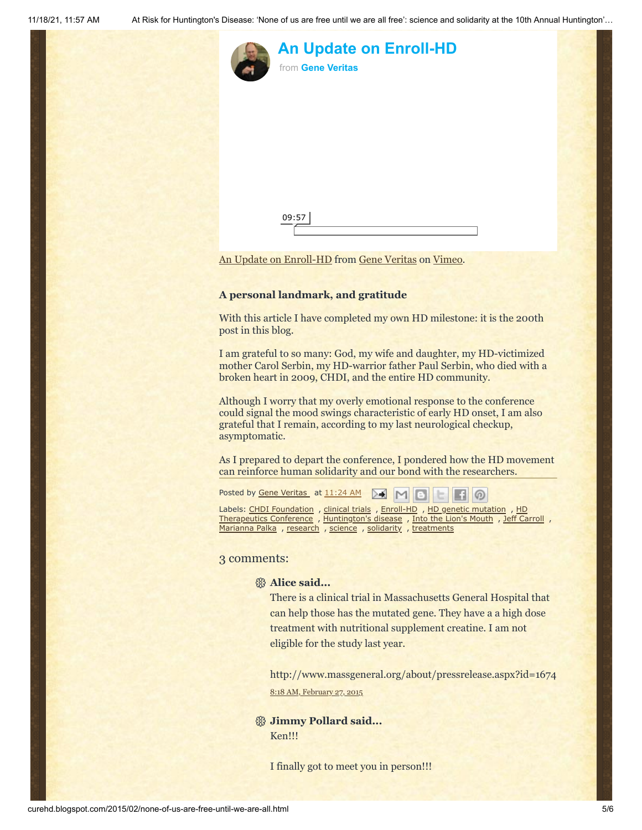

# **[An Update on Enroll-HD](https://vimeo.com/120711979?embedded=true&source=video_title&owner=6019843)** from **[Gene Veritas](https://vimeo.com/user6019843?embedded=true&source=owner_name&owner=6019843)**

[An Update on Enroll-HD](https://vimeo.com/120711979) from [Gene Veritas](https://vimeo.com/user6019843) on [Vimeo.](https://vimeo.com/)

### **A personal landmark, and gratitude**

09:57

With this article I have completed my own HD milestone: it is the 200th post in this blog.

I am grateful to so many: God, my wife and daughter, my HD-victimized mother Carol Serbin, my HD-warrior father Paul Serbin, who died with a broken heart in 2009, CHDI, and the entire HD community.

Although I worry that my overly emotional response to the conference could signal the mood swings characteristic of early HD onset, I am also grateful that I remain, according to my last neurological checkup, asymptomatic.

As I prepared to depart the conference, I pondered how the HD movement can reinforce human solidarity and our bond with the researchers.

Posted by Gene [Veritas](https://www.blogger.com/profile/03599828959793084715) at [11:24](http://curehd.blogspot.com/2015/02/none-of-us-are-free-until-we-are-all.html) AM ≻€

Labels: CHDI [Foundation](http://curehd.blogspot.com/search/label/CHDI%20Foundation) , [clinical](http://curehd.blogspot.com/search/label/clinical%20trials) trials , [Enroll-HD](http://curehd.blogspot.com/search/label/Enroll-HD) , HD genetic [mutation](http://curehd.blogspot.com/search/label/HD%20genetic%20mutation) , HD [Therapeutics](http://curehd.blogspot.com/search/label/HD%20Therapeutics%20Conference) Conference, [Huntington's](http://curehd.blogspot.com/search/label/Huntington%27s%20disease) disease, Into the Lion's [Mouth](http://curehd.blogspot.com/search/label/Into%20the%20Lion%27s%20Mouth), Jeff [Carroll](http://curehd.blogspot.com/search/label/Jeff%20Carroll), [Marianna](http://curehd.blogspot.com/search/label/Marianna%20Palka) Palka , [research](http://curehd.blogspot.com/search/label/research) , [science](http://curehd.blogspot.com/search/label/science) , [solidarity](http://curehd.blogspot.com/search/label/solidarity) , [treatments](http://curehd.blogspot.com/search/label/treatments)

### 3 comments:

### **Alice said...**

There is a clinical trial in Massachusetts General Hospital that can help those has the mutated gene. They have a a high dose treatment with nutritional supplement creatine. I am not eligible for the study last year.

http://www.massgeneral.org/about/pressrelease.aspx?id=1674 8:18 AM, [February](http://curehd.blogspot.com/2015/02/none-of-us-are-free-until-we-are-all.html?showComment=1425053914148#c5060278250515977083) 27, 2015

### **Jimmy Pollard said...** Ken!!!

I finally got to meet you in person!!!